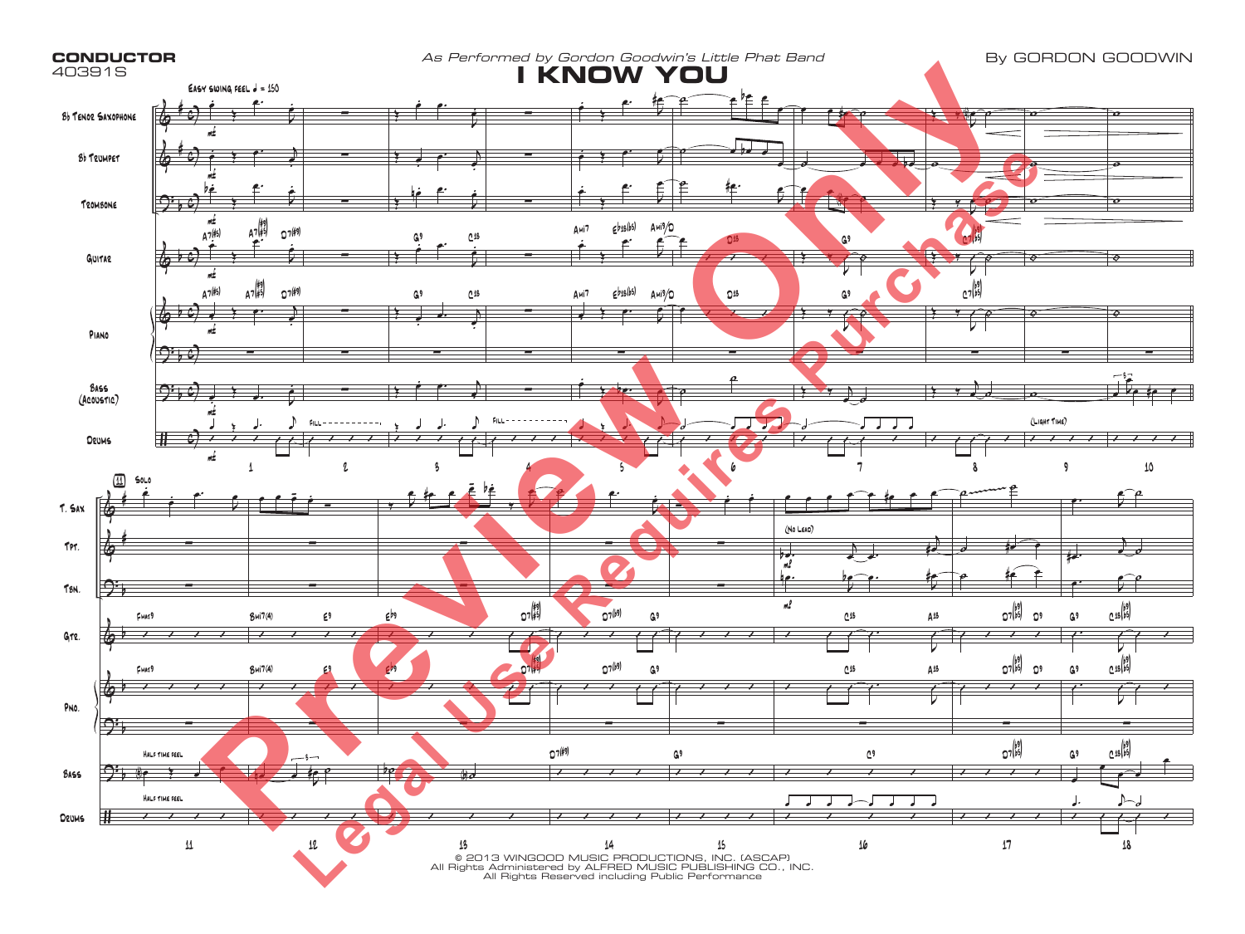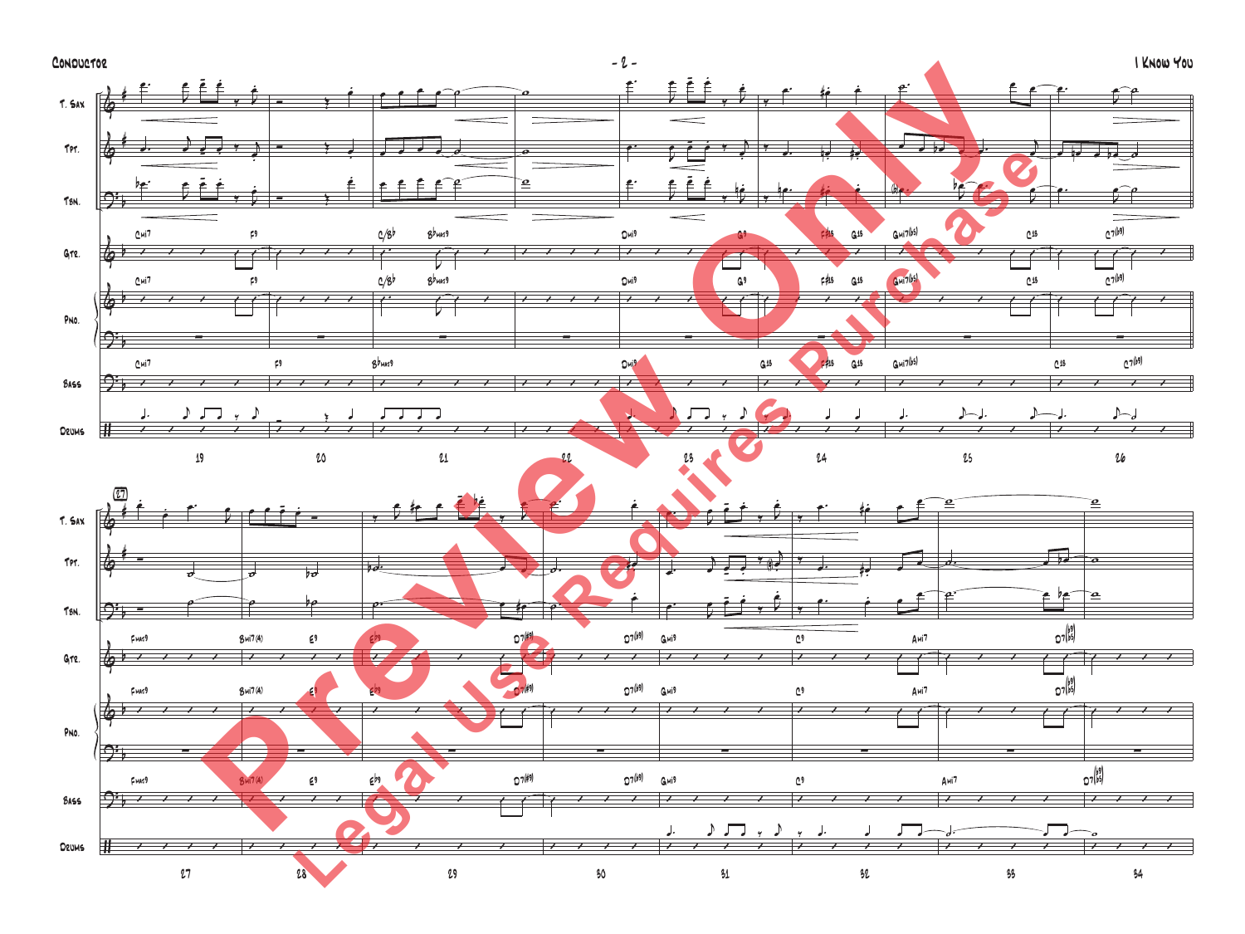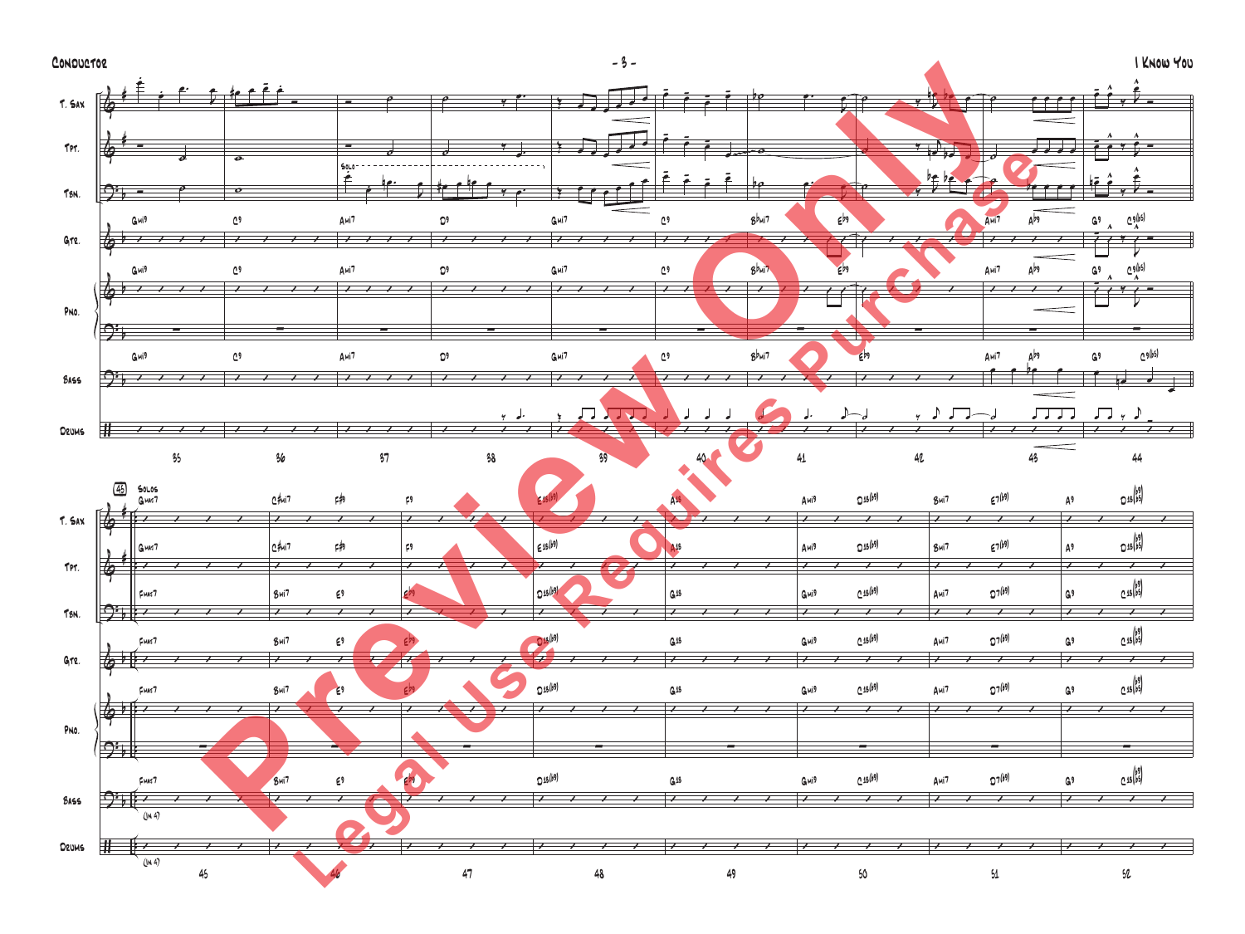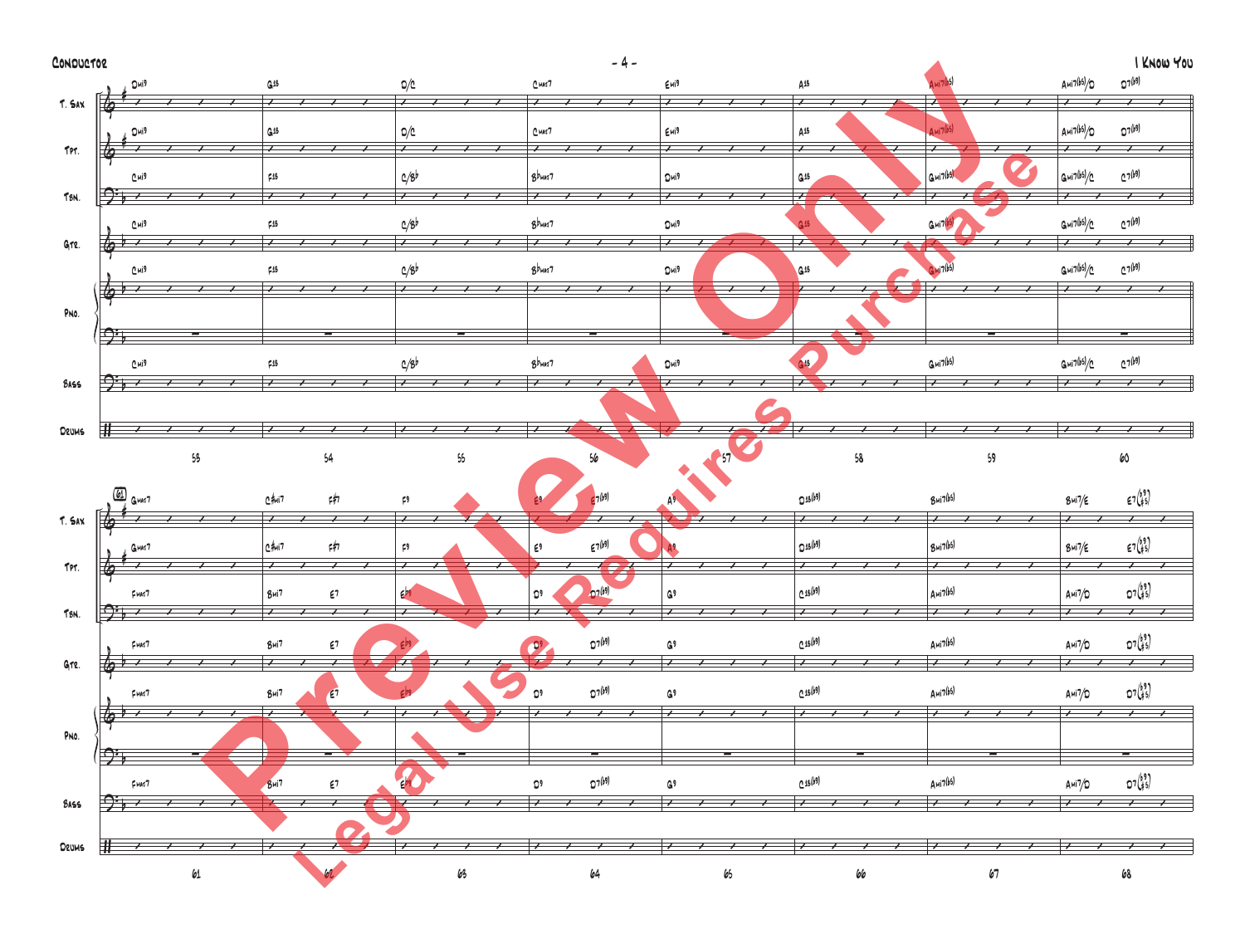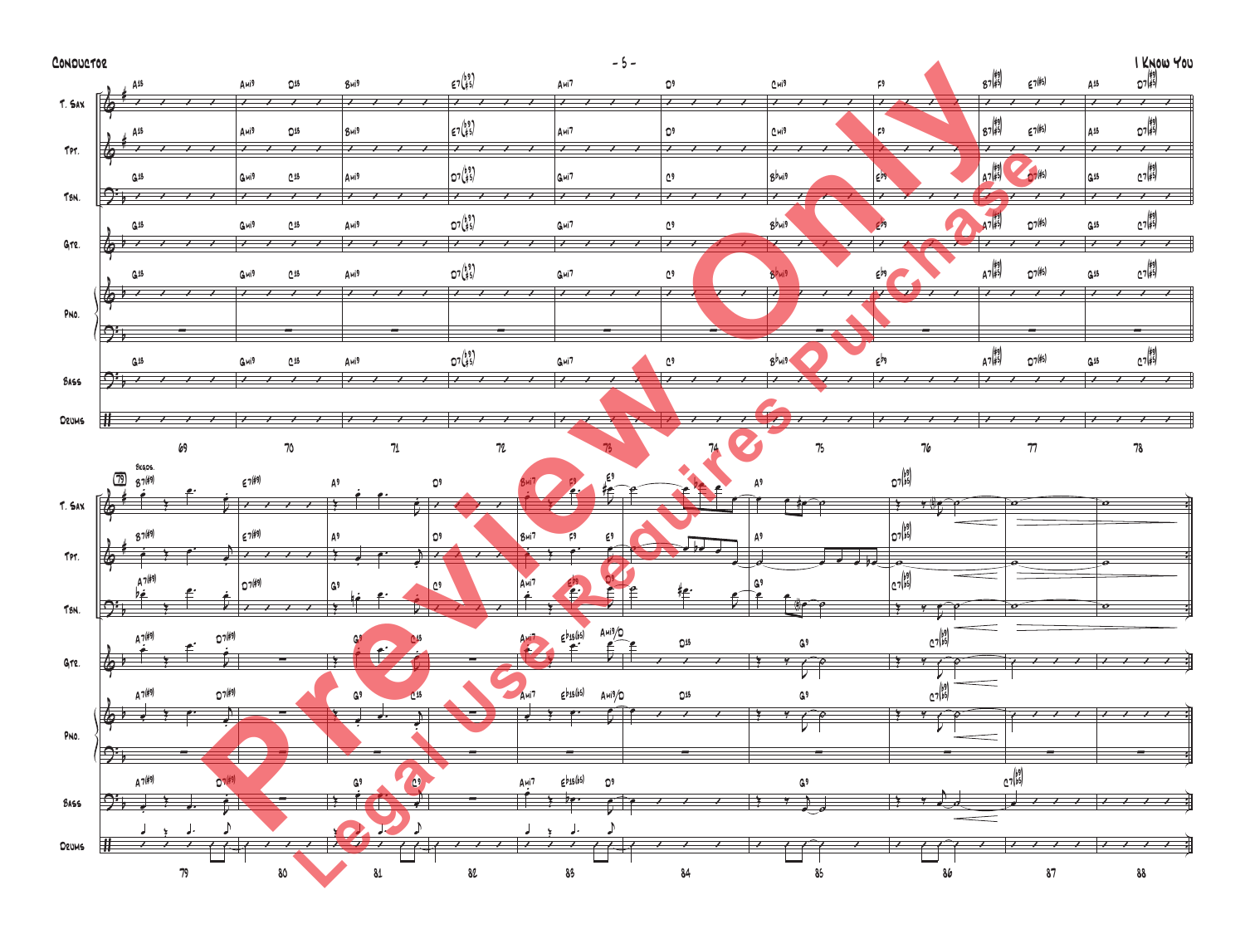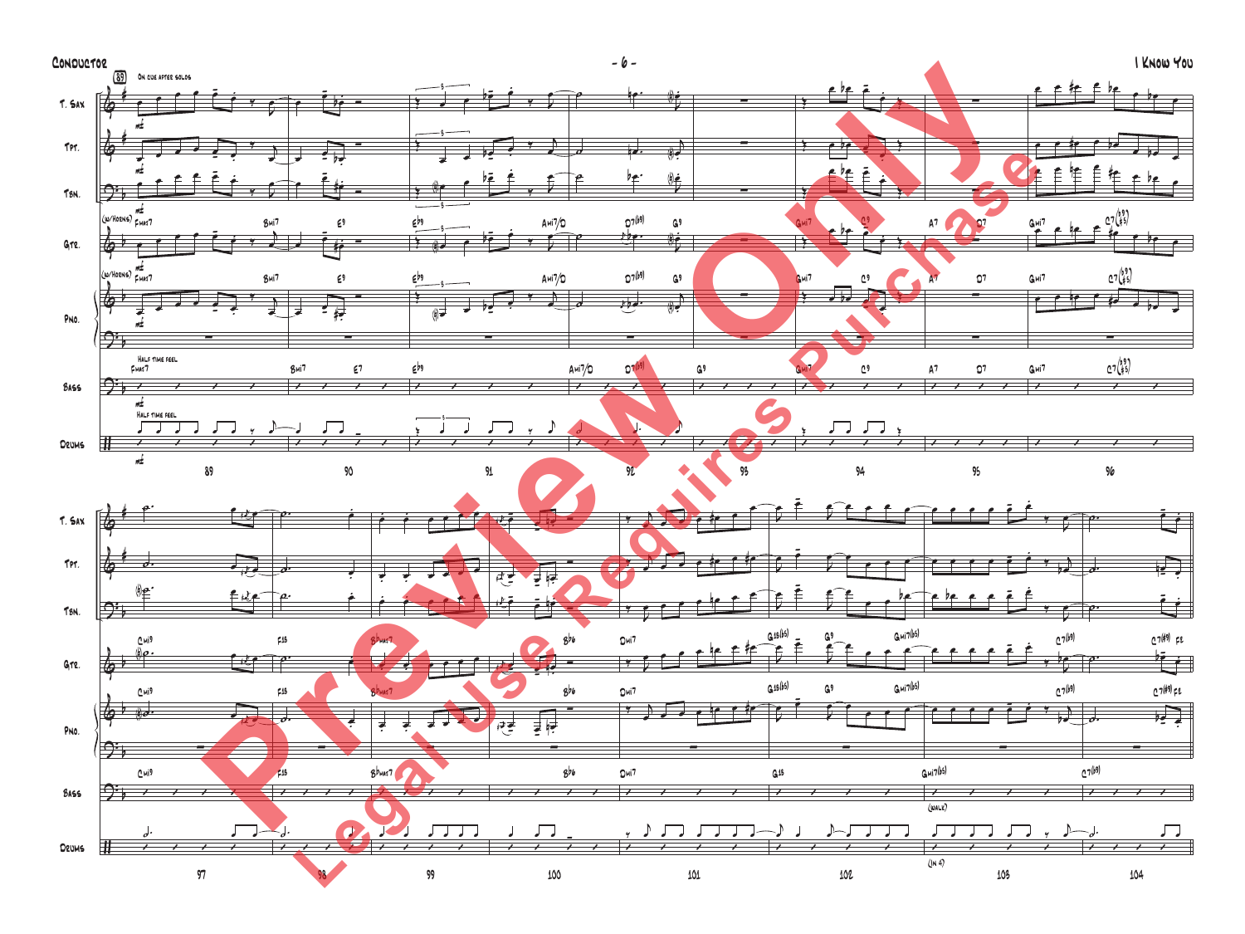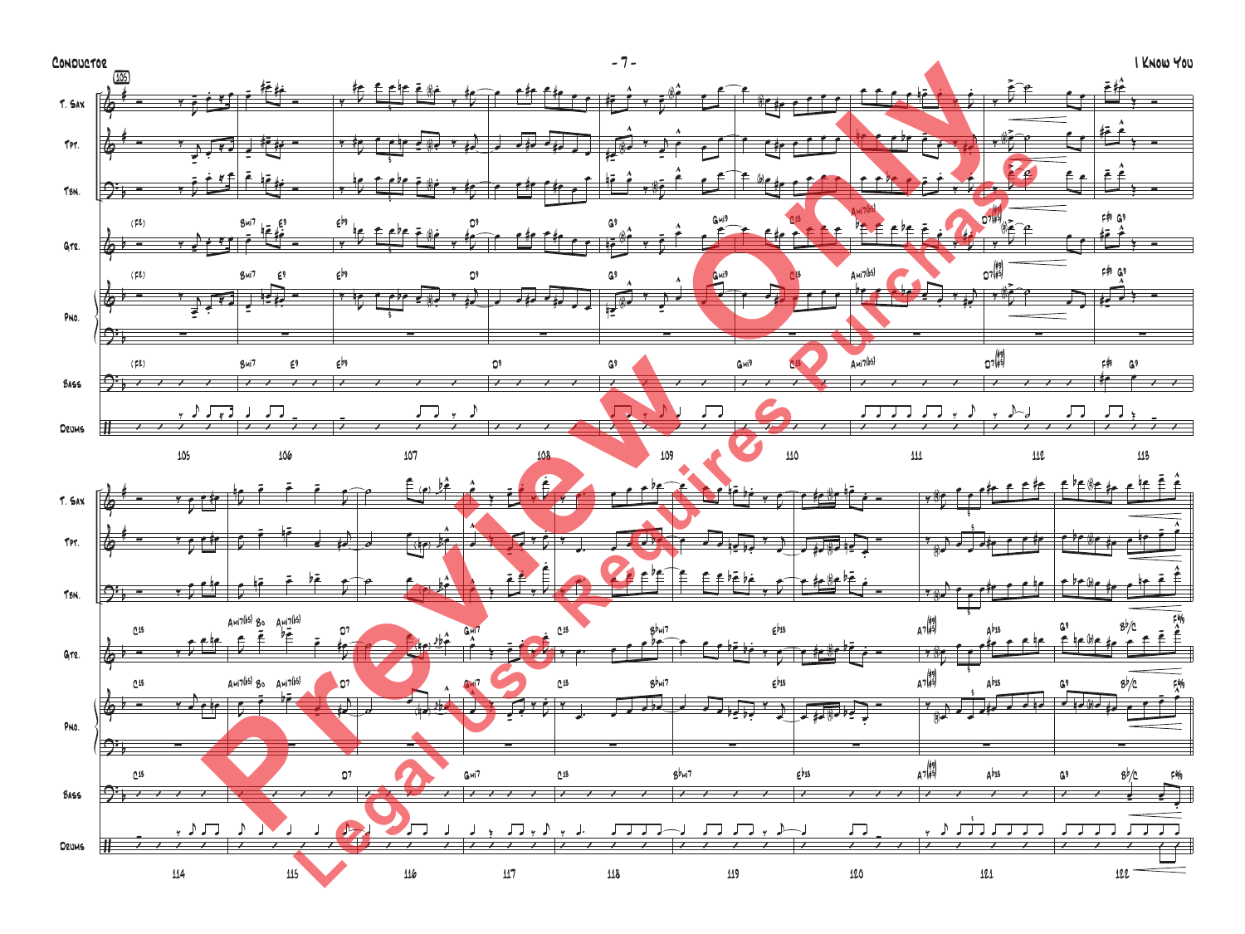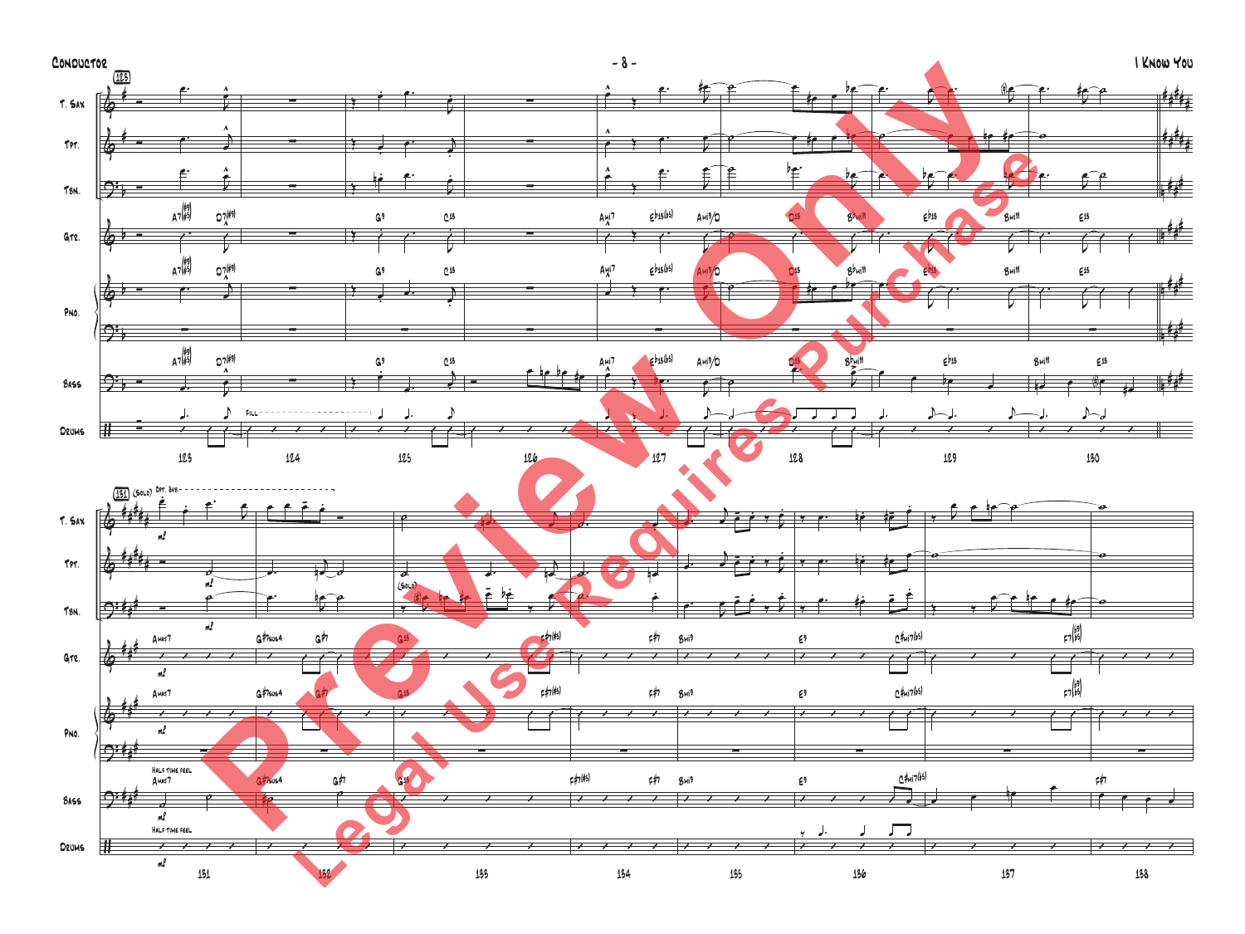